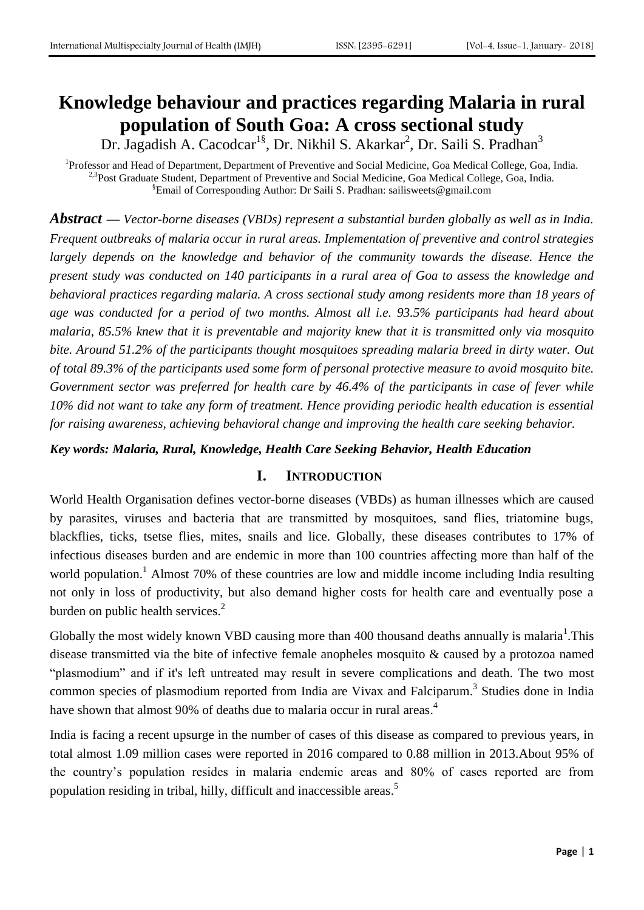# **Knowledge behaviour and practices regarding Malaria in rural population of South Goa: A cross sectional study**

Dr. Jagadish A. Cacodcar<sup>1§</sup>, Dr. Nikhil S. Akarkar<sup>2</sup>, Dr. Saili S. Pradhan<sup>3</sup>

<sup>1</sup>Professor and Head of Department, Department of Preventive and Social Medicine, Goa Medical College, Goa, India. <sup>2,3</sup>Post Graduate Student, Department of Preventive and Social Medicine, Goa Medical College, Goa, India. §Email of Corresponding Author: Dr Saili S. Pradhan: [sailisweets@gmail.com](mailto:sailisweets@gmail.com)

*Abstract* **—** *Vector-borne diseases (VBDs) represent a substantial burden globally as well as in India. Frequent outbreaks of malaria occur in rural areas. Implementation of preventive and control strategies largely depends on the knowledge and behavior of the community towards the disease. Hence the present study was conducted on 140 participants in a rural area of Goa to assess the knowledge and behavioral practices regarding malaria. A cross sectional study among residents more than 18 years of age was conducted for a period of two months. Almost all i.e. 93.5% participants had heard about malaria, 85.5% knew that it is preventable and majority knew that it is transmitted only via mosquito bite. Around 51.2% of the participants thought mosquitoes spreading malaria breed in dirty water. Out of total 89.3% of the participants used some form of personal protective measure to avoid mosquito bite. Government sector was preferred for health care by 46.4% of the participants in case of fever while 10% did not want to take any form of treatment. Hence providing periodic health education is essential for raising awareness, achieving behavioral change and improving the health care seeking behavior.*

#### *Key words: Malaria, Rural, Knowledge, Health Care Seeking Behavior, Health Education*

## **I. INTRODUCTION**

World Health Organisation defines vector-borne diseases (VBDs) as human illnesses which are caused by parasites, viruses and bacteria that are transmitted by mosquitoes, sand flies, triatomine bugs, blackflies, ticks, tsetse flies, mites, snails and lice. Globally, these diseases contributes to 17% of infectious diseases burden and are endemic in more than 100 countries affecting more than half of the world population.<sup>1</sup> Almost 70% of these countries are low and middle income including India resulting not only in loss of productivity, but also demand higher costs for health care and eventually pose a burden on public health services.<sup>2</sup>

Globally the most widely known VBD causing more than 400 thousand deaths annually is malaria<sup>1</sup>. This disease transmitted via the bite of infective female anopheles mosquito & caused by a protozoa named "plasmodium" and if it's left untreated may result in severe complications and death. The two most common species of plasmodium reported from India are Vivax and Falciparum.<sup>3</sup> Studies done in India have shown that almost 90% of deaths due to malaria occur in rural areas.<sup>4</sup>

India is facing a recent upsurge in the number of cases of this disease as compared to previous years, in total almost 1.09 million cases were reported in 2016 compared to 0.88 million in 2013.About 95% of the country's population resides in malaria endemic areas and 80% of cases reported are from population residing in tribal, hilly, difficult and inaccessible areas.<sup>5</sup>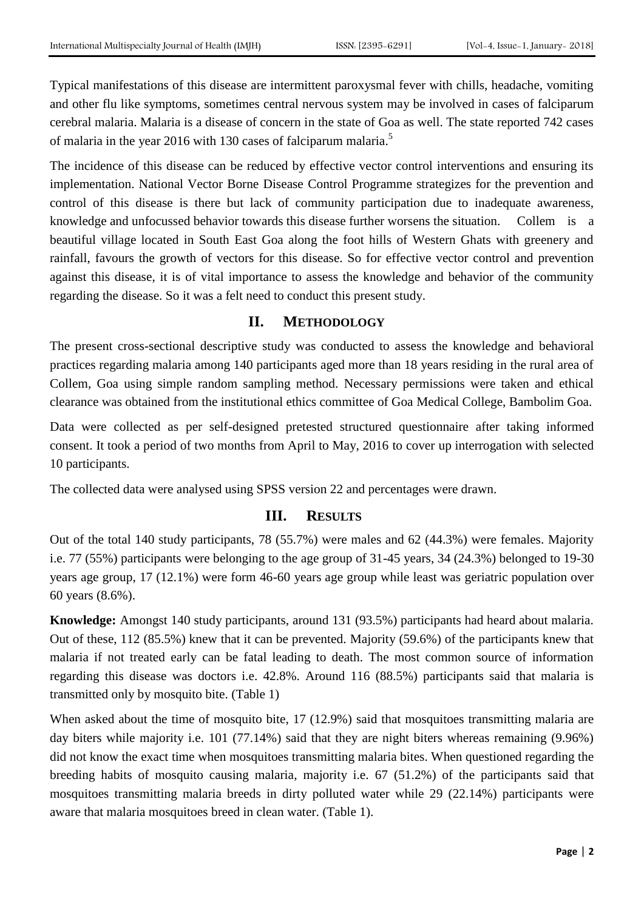Typical manifestations of this disease are intermittent paroxysmal fever with chills, headache, vomiting and other flu like symptoms, sometimes central nervous system may be involved in cases of falciparum cerebral malaria. Malaria is a disease of concern in the state of Goa as well. The state reported 742 cases of malaria in the year 2016 with 130 cases of falciparum malaria.<sup>5</sup>

The incidence of this disease can be reduced by effective vector control interventions and ensuring its implementation. National Vector Borne Disease Control Programme strategizes for the prevention and control of this disease is there but lack of community participation due to inadequate awareness, knowledge and unfocussed behavior towards this disease further worsens the situation. Collem is a beautiful village located in South East Goa along the foot hills of Western Ghats with greenery and rainfall, favours the growth of vectors for this disease. So for effective vector control and prevention against this disease, it is of vital importance to assess the knowledge and behavior of the community regarding the disease. So it was a felt need to conduct this present study.

## **II. METHODOLOGY**

The present cross-sectional descriptive study was conducted to assess the knowledge and behavioral practices regarding malaria among 140 participants aged more than 18 years residing in the rural area of Collem, Goa using simple random sampling method. Necessary permissions were taken and ethical clearance was obtained from the institutional ethics committee of Goa Medical College, Bambolim Goa.

Data were collected as per self-designed pretested structured questionnaire after taking informed consent. It took a period of two months from April to May, 2016 to cover up interrogation with selected 10 participants.

The collected data were analysed using SPSS version 22 and percentages were drawn.

# **III. RESULTS**

Out of the total 140 study participants, 78 (55.7%) were males and 62 (44.3%) were females. Majority i.e. 77 (55%) participants were belonging to the age group of 31-45 years, 34 (24.3%) belonged to 19-30 years age group, 17 (12.1%) were form 46-60 years age group while least was geriatric population over 60 years (8.6%).

**Knowledge:** Amongst 140 study participants, around 131 (93.5%) participants had heard about malaria. Out of these, 112 (85.5%) knew that it can be prevented. Majority (59.6%) of the participants knew that malaria if not treated early can be fatal leading to death. The most common source of information regarding this disease was doctors i.e. 42.8%. Around 116 (88.5%) participants said that malaria is transmitted only by mosquito bite. (Table 1)

When asked about the time of mosquito bite, 17 (12.9%) said that mosquitoes transmitting malaria are day biters while majority i.e. 101 (77.14%) said that they are night biters whereas remaining (9.96%) did not know the exact time when mosquitoes transmitting malaria bites. When questioned regarding the breeding habits of mosquito causing malaria, majority i.e. 67 (51.2%) of the participants said that mosquitoes transmitting malaria breeds in dirty polluted water while 29 (22.14%) participants were aware that malaria mosquitoes breed in clean water. (Table 1).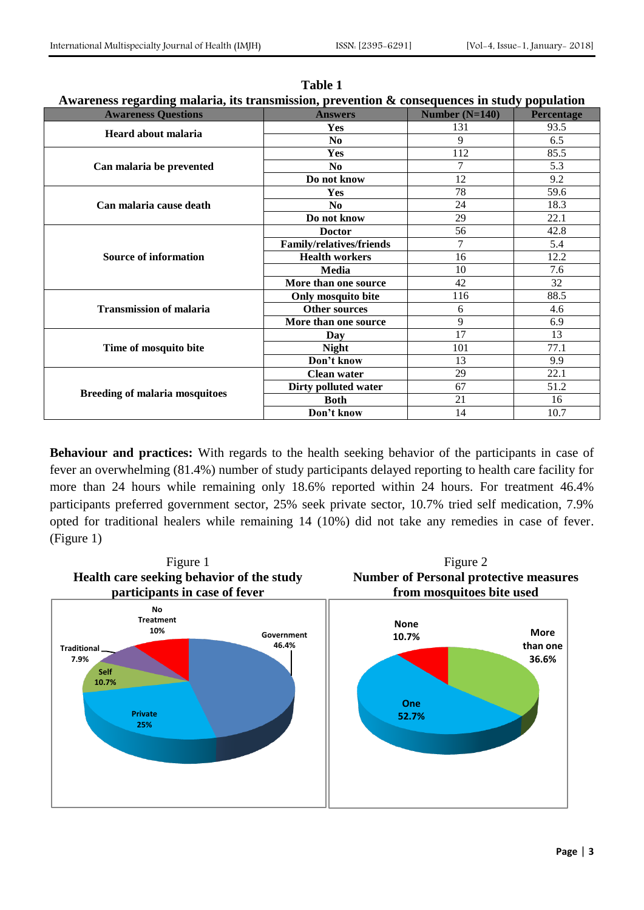| Awai chess regarding maiaria, ns u ansimssion, prevention & consequences in study population |                                 |                  |                   |
|----------------------------------------------------------------------------------------------|---------------------------------|------------------|-------------------|
| <b>Awareness Questions</b>                                                                   | <b>Answers</b>                  | Number $(N=140)$ | <b>Percentage</b> |
| Heard about malaria                                                                          | <b>Yes</b>                      | 131              | 93.5              |
|                                                                                              | N <sub>0</sub>                  | 9                | 6.5               |
| Can malaria be prevented                                                                     | Yes                             | 112              | 85.5              |
|                                                                                              | N <sub>0</sub>                  | $\overline{7}$   | 5.3               |
|                                                                                              | Do not know                     | 12               | 9.2               |
| Can malaria cause death                                                                      | Yes                             | 78               | 59.6              |
|                                                                                              | No.                             | 24               | 18.3              |
|                                                                                              | Do not know                     | 29               | 22.1              |
|                                                                                              | <b>Doctor</b>                   | 56               | 42.8              |
| <b>Source of information</b>                                                                 | <b>Family/relatives/friends</b> | 7                | 5.4               |
|                                                                                              | <b>Health workers</b>           | 16               | 12.2              |
|                                                                                              | Media                           | 10               | 7.6               |
|                                                                                              | More than one source            | 42               | 32                |
| <b>Transmission of malaria</b>                                                               | Only mosquito bite              | 116              | 88.5              |
|                                                                                              | <b>Other sources</b>            | 6                | 4.6               |
|                                                                                              | More than one source            | 9                | 6.9               |
| Time of mosquito bite                                                                        | Day                             | 17               | 13                |
|                                                                                              | <b>Night</b>                    | 101              | 77.1              |
|                                                                                              | Don't know                      | 13               | 9.9               |
| <b>Breeding of malaria mosquitoes</b>                                                        | <b>Clean water</b>              | 29               | 22.1              |
|                                                                                              | Dirty polluted water            | 67               | 51.2              |
|                                                                                              | <b>Both</b>                     | 21               | 16                |
|                                                                                              | Don't know                      | 14               | 10.7              |

**Table 1 Awareness regarding malaria, its transmission, prevention & consequences in study population**

**Behaviour and practices:** With regards to the health seeking behavior of the participants in case of fever an overwhelming (81.4%) number of study participants delayed reporting to health care facility for more than 24 hours while remaining only 18.6% reported within 24 hours. For treatment 46.4% participants preferred government sector, 25% seek private sector, 10.7% tried self medication, 7.9% opted for traditional healers while remaining 14 (10%) did not take any remedies in case of fever. (Figure 1)

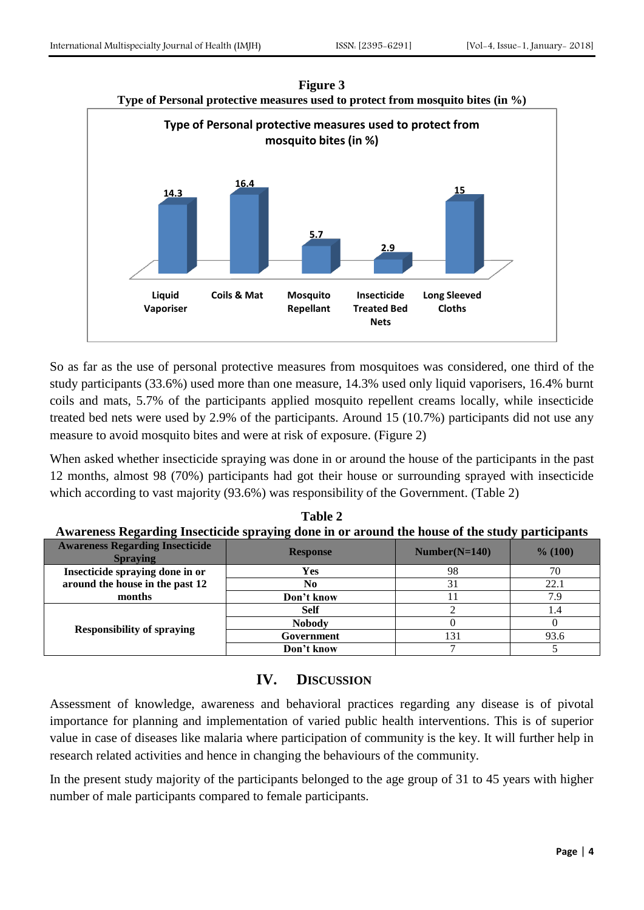

**Figure 3**

So as far as the use of personal protective measures from mosquitoes was considered, one third of the study participants (33.6%) used more than one measure, 14.3% used only liquid vaporisers, 16.4% burnt coils and mats, 5.7% of the participants applied mosquito repellent creams locally, while insecticide treated bed nets were used by 2.9% of the participants. Around 15 (10.7%) participants did not use any measure to avoid mosquito bites and were at risk of exposure. (Figure 2)

When asked whether insecticide spraying was done in or around the house of the participants in the past 12 months, almost 98 (70%) participants had got their house or surrounding sprayed with insecticide which according to vast majority (93.6%) was responsibility of the Government. (Table 2)

| A wai chess inegal umg misecuciue spraying uone in or arounu uie house or uie stuuy participants |                 |                 |         |  |
|--------------------------------------------------------------------------------------------------|-----------------|-----------------|---------|--|
| <b>Awareness Regarding Insecticide</b><br><b>Spraving</b>                                        | <b>Response</b> | $Number(N=140)$ | % (100) |  |
| Insecticide spraying done in or                                                                  | Yes             | 98              | 70      |  |
| around the house in the past 12                                                                  | No              |                 | 22.1    |  |
| months                                                                                           | Don't know      |                 | 7.9     |  |
| <b>Responsibility of spraying</b>                                                                | <b>Self</b>     |                 | 1.4     |  |
|                                                                                                  | <b>Nobody</b>   |                 |         |  |
|                                                                                                  | Government      | 131             | 93.6    |  |
|                                                                                                  | Don't know      |                 |         |  |

**Table 2 Awareness Regarding Insecticide spraying done in or around the house of the study participants**

# **IV. DISCUSSION**

Assessment of knowledge, awareness and behavioral practices regarding any disease is of pivotal importance for planning and implementation of varied public health interventions. This is of superior value in case of diseases like malaria where participation of community is the key. It will further help in research related activities and hence in changing the behaviours of the community.

In the present study majority of the participants belonged to the age group of 31 to 45 years with higher number of male participants compared to female participants.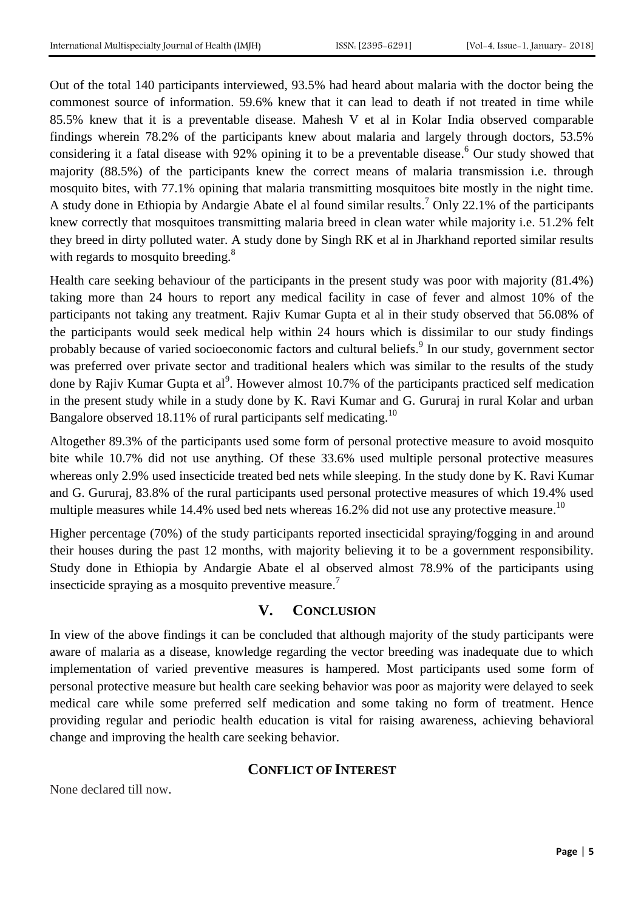Out of the total 140 participants interviewed, 93.5% had heard about malaria with the doctor being the commonest source of information. 59.6% knew that it can lead to death if not treated in time while 85.5% knew that it is a preventable disease. Mahesh V et al in Kolar India observed comparable findings wherein 78.2% of the participants knew about malaria and largely through doctors, 53.5% considering it a fatal disease with 92% opining it to be a preventable disease. <sup>6</sup> Our study showed that majority (88.5%) of the participants knew the correct means of malaria transmission i.e. through mosquito bites, with 77.1% opining that malaria transmitting mosquitoes bite mostly in the night time. A study done in Ethiopia by Andargie Abate el al found similar results. <sup>7</sup> Only 22.1% of the participants knew correctly that mosquitoes transmitting malaria breed in clean water while majority i.e. 51.2% felt they breed in dirty polluted water. A study done by Singh RK et al in Jharkhand reported similar results with regards to mosquito breeding.<sup>8</sup>

Health care seeking behaviour of the participants in the present study was poor with majority (81.4%) taking more than 24 hours to report any medical facility in case of fever and almost 10% of the participants not taking any treatment. Rajiv Kumar Gupta et al in their study observed that 56.08% of the participants would seek medical help within 24 hours which is dissimilar to our study findings probably because of varied socioeconomic factors and cultural beliefs.<sup>9</sup> In our study, government sector was preferred over private sector and traditional healers which was similar to the results of the study done by Rajiv Kumar Gupta et al<sup>9</sup>. However almost 10.7% of the participants practiced self medication in the present study while in a study done by K. Ravi Kumar and G. Gururaj in rural Kolar and urban Bangalore observed 18.11% of rural participants self medicating.<sup>10</sup>

Altogether 89.3% of the participants used some form of personal protective measure to avoid mosquito bite while 10.7% did not use anything. Of these 33.6% used multiple personal protective measures whereas only 2.9% used insecticide treated bed nets while sleeping. In the study done by K. Ravi Kumar and G. Gururaj, 83.8% of the rural participants used personal protective measures of which 19.4% used multiple measures while 14.4% used bed nets whereas 16.2% did not use any protective measure.<sup>10</sup>

Higher percentage (70%) of the study participants reported insecticidal spraying/fogging in and around their houses during the past 12 months, with majority believing it to be a government responsibility. Study done in Ethiopia by Andargie Abate el al observed almost 78.9% of the participants using insecticide spraying as a mosquito preventive measure.<sup>7</sup>

## **V. CONCLUSION**

In view of the above findings it can be concluded that although majority of the study participants were aware of malaria as a disease, knowledge regarding the vector breeding was inadequate due to which implementation of varied preventive measures is hampered. Most participants used some form of personal protective measure but health care seeking behavior was poor as majority were delayed to seek medical care while some preferred self medication and some taking no form of treatment. Hence providing regular and periodic health education is vital for raising awareness, achieving behavioral change and improving the health care seeking behavior.

## **CONFLICT OF INTEREST**

None declared till now.